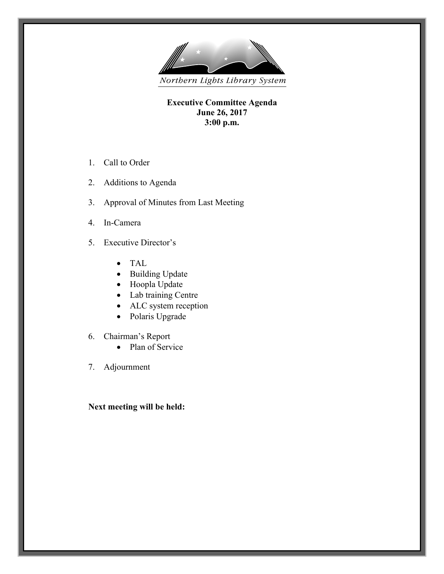

**Executive Committee Agenda June 26, 2017 3:00 p.m.**

- 1. Call to Order
- 2. Additions to Agenda
- 3. Approval of Minutes from Last Meeting
- 4. In-Camera
- 5. Executive Director's
	- TAL
	- Building Update
	- Hoopla Update
	- Lab training Centre
	- ALC system reception
	- Polaris Upgrade
- 6. Chairman's Report
	- Plan of Service
- 7. Adjournment

## **Next meeting will be held:**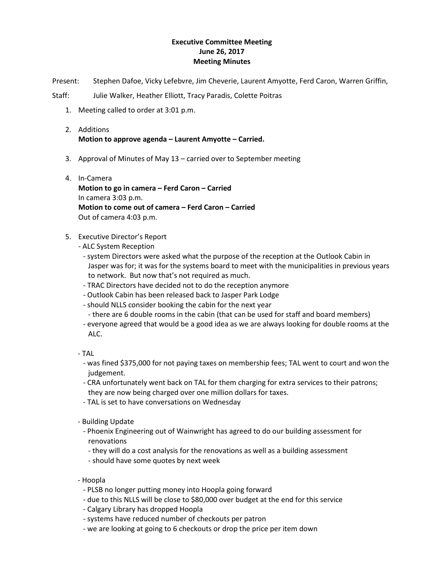## **Executive Committee Meeting June 26, 2017 Meeting Minutes**

Present: Stephen Dafoe, Vicky Lefebvre, Jim Cheverie, Laurent Amyotte, Ferd Caron, Warren Griffin,

Staff: Julie Walker, Heather Elliott, Tracy Paradis, Colette Poitras

- 1. Meeting called to order at 3:01 p.m.
- 2. Additions **Motion to approve agenda – Laurent Amyotte – Carried.**
- 3. Approval of Minutes of May 13 carried over to September meeting
- 4. In-Camera **Motion to go in camera – Ferd Caron – Carried**  In camera 3:03 p.m. **Motion to come out of camera – Ferd Caron – Carried**  Out of camera 4:03 p.m.
- 5. Executive Director's Report
	- ALC System Reception
		- system Directors were asked what the purpose of the reception at the Outlook Cabin in Jasper was for; it was for the systems board to meet with the municipalities in previous years to network. But now that's not required as much.
		- TRAC Directors have decided not to do the reception anymore
		- Outlook Cabin has been released back to Jasper Park Lodge
		- should NLLS consider booking the cabin for the next year
			- there are 6 double rooms in the cabin (that can be used for staff and board members)
		- everyone agreed that would be a good idea as we are always looking for double rooms at the ALC.
	- TAL
		- was fined \$375,000 for not paying taxes on membership fees; TAL went to court and won the judgement.
		- CRA unfortunately went back on TAL for them charging for extra services to their patrons; they are now being charged over one million dollars for taxes.
		- TAL is set to have conversations on Wednesday
	- Building Update
		- Phoenix Engineering out of Wainwright has agreed to do our building assessment for renovations
			- they will do a cost analysis for the renovations as well as a building assessment
		- should have some quotes by next week
	- Hoopla
		- PLSB no longer putting money into Hoopla going forward
		- due to this NLLS will be close to \$80,000 over budget at the end for this service
		- Calgary Library has dropped Hoopla
		- systems have reduced number of checkouts per patron
		- we are looking at going to 6 checkouts or drop the price per item down